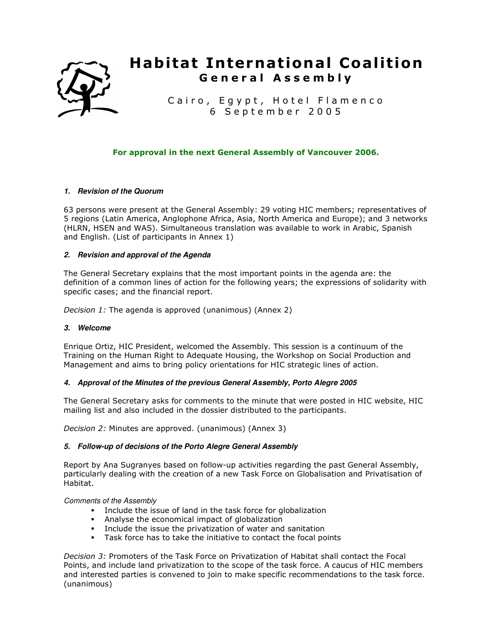

# **Habitat International Coalition G e n e r a l A s s e m b l y**

Cairo, Egypt, Hotel Flamenco 6 S e p t e m b e r 2 0 0 5

# **For approval in the next General Assembly of Vancouver 2006.**

## **1. Revision of the Quorum**

63 persons were present at the General Assembly: 29 voting HIC members; representatives of 5 regions (Latin America, Anglophone Africa, Asia, North America and Europe); and 3 networks (HLRN, HSEN and WAS). Simultaneous translation was available to work in Arabic, Spanish and English. (List of participants in Annex 1)

## **2. Revision and approval of the Agenda**

The General Secretary explains that the most important points in the agenda are: the definition of a common lines of action for the following years; the expressions of solidarity with specific cases; and the financial report.

*Decision 1:* The agenda is approved (unanimous) (Annex 2)

## **3. Welcome**

Enrique Ortiz, HIC President, welcomed the Assembly. This session is a continuum of the Training on the Human Right to Adequate Housing, the Workshop on Social Production and Management and aims to bring policy orientations for HIC strategic lines of action.

# **4. Approval of the Minutes of the previous General Assembly, Porto Alegre 2005**

The General Secretary asks for comments to the minute that were posted in HIC website, HIC mailing list and also included in the dossier distributed to the participants.

*Decision 2:* Minutes are approved. (unanimous) (Annex 3)

## **5. Follow-up of decisions of the Porto Alegre General Assembly**

Report by Ana Sugranyes based on follow-up activities regarding the past General Assembly, particularly dealing with the creation of a new Task Force on Globalisation and Privatisation of Habitat.

Comments of the Assembly

- Include the issue of land in the task force for globalization
- Analyse the economical impact of globalization
- Include the issue the privatization of water and sanitation
- Task force has to take the initiative to contact the focal points

*Decision 3:* Promoters of the Task Force on Privatization of Habitat shall contact the Focal Points, and include land privatization to the scope of the task force. A caucus of HIC members and interested parties is convened to join to make specific recommendations to the task force. (unanimous)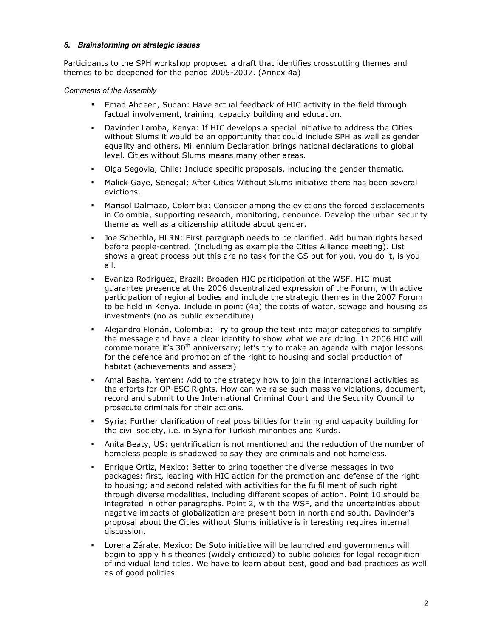## **6. Brainstorming on strategic issues**

Participants to the SPH workshop proposed a draft that identifies crosscutting themes and themes to be deepened for the period 2005-2007. (Annex 4a)

## Comments of the Assembly

- Emad Abdeen, Sudan: Have actual feedback of HIC activity in the field through factual involvement, training, capacity building and education.
- Davinder Lamba, Kenya: If HIC develops a special initiative to address the Cities without Slums it would be an opportunity that could include SPH as well as gender equality and others. Millennium Declaration brings national declarations to global level. Cities without Slums means many other areas.
- Olga Segovia, Chile: Include specific proposals, including the gender thematic.
- Malick Gaye, Senegal: After Cities Without Slums initiative there has been several evictions.
- Marisol Dalmazo, Colombia: Consider among the evictions the forced displacements in Colombia, supporting research, monitoring, denounce. Develop the urban security theme as well as a citizenship attitude about gender.
- Joe Schechla, HLRN: First paragraph needs to be clarified. Add human rights based before people-centred. (Including as example the Cities Alliance meeting). List shows a great process but this are no task for the GS but for you, you do it, is you all.
- Evaniza Rodríguez, Brazil: Broaden HIC participation at the WSF. HIC must guarantee presence at the 2006 decentralized expression of the Forum, with active participation of regional bodies and include the strategic themes in the 2007 Forum to be held in Kenya. Include in point (4a) the costs of water, sewage and housing as investments (no as public expenditure)
- Alejandro Florián, Colombia: Try to group the text into major categories to simplify the message and have a clear identity to show what we are doing. In 2006 HIC will commemorate it's  $30<sup>th</sup>$  anniversary; let's try to make an agenda with major lessons for the defence and promotion of the right to housing and social production of habitat (achievements and assets)
- Amal Basha, Yemen: Add to the strategy how to join the international activities as the efforts for OP-ESC Rights. How can we raise such massive violations, document, record and submit to the International Criminal Court and the Security Council to prosecute criminals for their actions.
- Syria: Further clarification of real possibilities for training and capacity building for the civil society, i.e. in Syria for Turkish minorities and Kurds.
- Anita Beaty, US: gentrification is not mentioned and the reduction of the number of homeless people is shadowed to say they are criminals and not homeless.
- Enrique Ortiz, Mexico: Better to bring together the diverse messages in two packages: first, leading with HIC action for the promotion and defense of the right to housing; and second related with activities for the fulfillment of such right through diverse modalities, including different scopes of action. Point 10 should be integrated in other paragraphs. Point 2, with the WSF, and the uncertainties about negative impacts of globalization are present both in north and south. Davinder's proposal about the Cities without Slums initiative is interesting requires internal discussion.
- Lorena Zárate, Mexico: De Soto initiative will be launched and governments will begin to apply his theories (widely criticized) to public policies for legal recognition of individual land titles. We have to learn about best, good and bad practices as well as of good policies.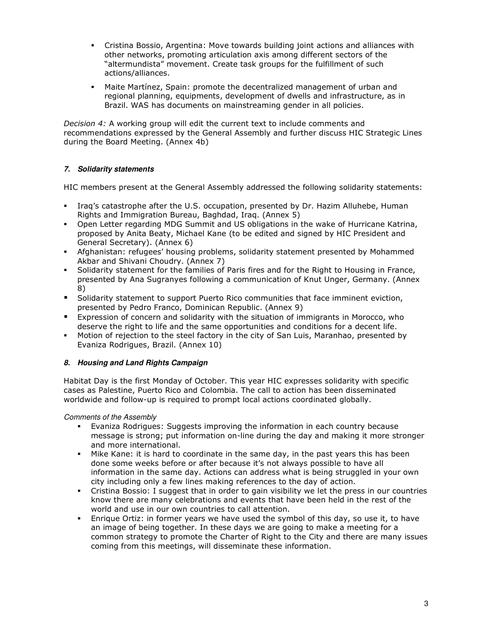- Cristina Bossio, Argentina: Move towards building joint actions and alliances with other networks, promoting articulation axis among different sectors of the "altermundista" movement. Create task groups for the fulfillment of such actions/alliances.
- Maite Martínez, Spain: promote the decentralized management of urban and regional planning, equipments, development of dwells and infrastructure, as in Brazil. WAS has documents on mainstreaming gender in all policies.

*Decision 4:* A working group will edit the current text to include comments and recommendations expressed by the General Assembly and further discuss HIC Strategic Lines during the Board Meeting. (Annex 4b)

# **7. Solidarity statements**

HIC members present at the General Assembly addressed the following solidarity statements:

- Iraq's catastrophe after the U.S. occupation, presented by Dr. Hazim Alluhebe, Human Rights and Immigration Bureau, Baghdad, Iraq. (Annex 5)
- Open Letter regarding MDG Summit and US obligations in the wake of Hurricane Katrina, proposed by Anita Beaty, Michael Kane (to be edited and signed by HIC President and General Secretary). (Annex 6)
- Afghanistan: refugees' housing problems, solidarity statement presented by Mohammed Akbar and Shivani Choudry. (Annex 7)
- Solidarity statement for the families of Paris fires and for the Right to Housing in France, presented by Ana Sugranyes following a communication of Knut Unger, Germany. (Annex 8)
- Solidarity statement to support Puerto Rico communities that face imminent eviction, presented by Pedro Franco, Dominican Republic. (Annex 9)
- Expression of concern and solidarity with the situation of immigrants in Morocco, who deserve the right to life and the same opportunities and conditions for a decent life.
- Motion of rejection to the steel factory in the city of San Luis, Maranhao, presented by Evaniza Rodrigues, Brazil. (Annex 10)

# **8. Housing and Land Rights Campaign**

Habitat Day is the first Monday of October. This year HIC expresses solidarity with specific cases as Palestine, Puerto Rico and Colombia. The call to action has been disseminated worldwide and follow-up is required to prompt local actions coordinated globally.

# Comments of the Assembly

- Evaniza Rodrigues: Suggests improving the information in each country because message is strong; put information on-line during the day and making it more stronger and more international.
- Mike Kane: it is hard to coordinate in the same day, in the past years this has been done some weeks before or after because it's not always possible to have all information in the same day. Actions can address what is being struggled in your own city including only a few lines making references to the day of action.
- Cristina Bossio: I suggest that in order to gain visibility we let the press in our countries know there are many celebrations and events that have been held in the rest of the world and use in our own countries to call attention.
- Enrique Ortiz: in former years we have used the symbol of this day, so use it, to have an image of being together. In these days we are going to make a meeting for a common strategy to promote the Charter of Right to the City and there are many issues coming from this meetings, will disseminate these information.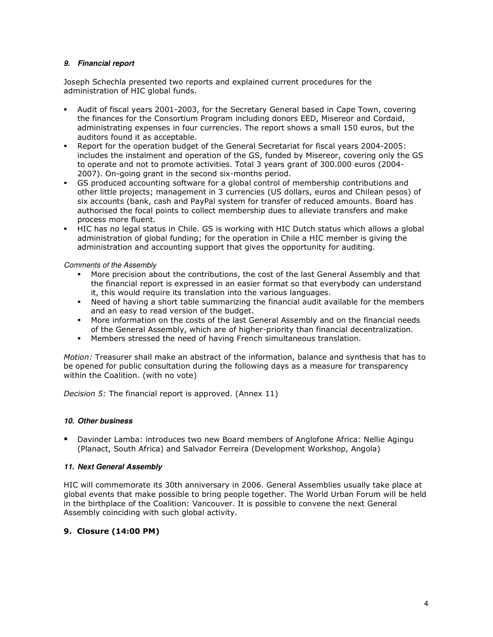## **9. Financial report**

Joseph Schechla presented two reports and explained current procedures for the administration of HIC global funds.

- Audit of fiscal years 2001-2003, for the Secretary General based in Cape Town, covering the finances for the Consortium Program including donors EED, Misereor and Cordaid, administrating expenses in four currencies. The report shows a small 150 euros, but the auditors found it as acceptable.
- Report for the operation budget of the General Secretariat for fiscal years 2004-2005: includes the instalment and operation of the GS, funded by Misereor, covering only the GS to operate and not to promote activities. Total 3 years grant of 300.000 euros (2004- 2007). On-going grant in the second six-months period.
- GS produced accounting software for a global control of membership contributions and other little projects; management in 3 currencies (US dollars, euros and Chilean pesos) of six accounts (bank, cash and PayPal system for transfer of reduced amounts. Board has authorised the focal points to collect membership dues to alleviate transfers and make process more fluent.
- HIC has no legal status in Chile. GS is working with HIC Dutch status which allows a global administration of global funding; for the operation in Chile a HIC member is giving the administration and accounting support that gives the opportunity for auditing.

Comments of the Assembly

- More precision about the contributions, the cost of the last General Assembly and that the financial report is expressed in an easier format so that everybody can understand it, this would require its translation into the various languages.
- Need of having a short table summarizing the financial audit available for the members and an easy to read version of the budget.
- More information on the costs of the last General Assembly and on the financial needs of the General Assembly, which are of higher-priority than financial decentralization.
- Members stressed the need of having French simultaneous translation.

*Motion:* Treasurer shall make an abstract of the information, balance and synthesis that has to be opened for public consultation during the following days as a measure for transparency within the Coalition. (with no vote)

*Decision 5:* The financial report is approved. (Annex 11)

## **10. Other business**

 Davinder Lamba: introduces two new Board members of Anglofone Africa: Nellie Agingu (Planact, South Africa) and Salvador Ferreira (Development Workshop, Angola)

## **11. Next General Assembly**

HIC will commemorate its 30th anniversary in 2006. General Assemblies usually take place at global events that make possible to bring people together. The World Urban Forum will be held in the birthplace of the Coalition: Vancouver. It is possible to convene the next General Assembly coinciding with such global activity.

# **9. Closure (14:00 PM)**